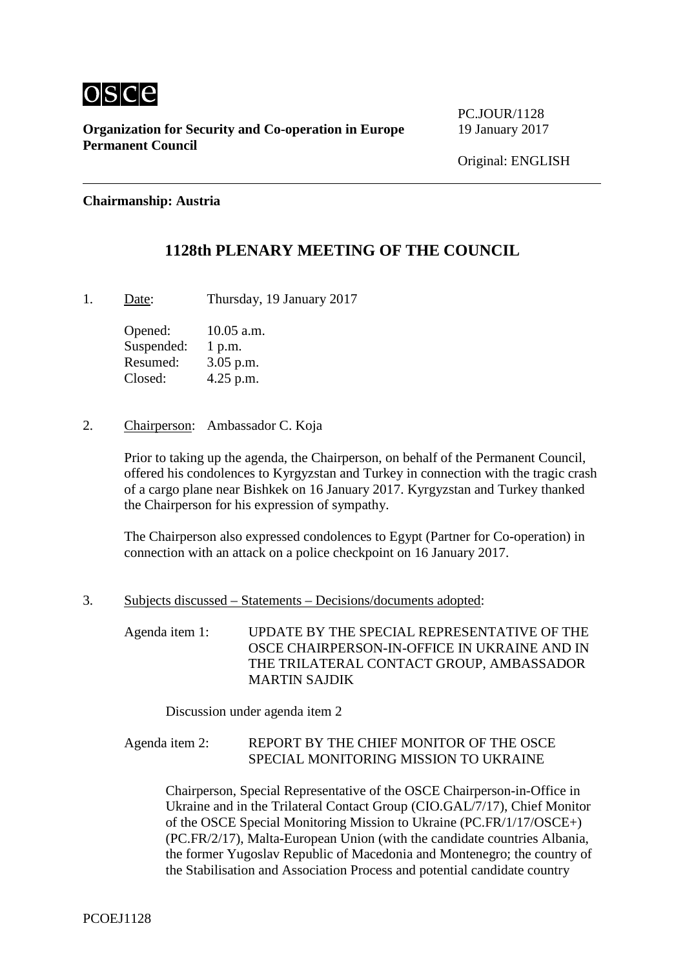

**Organization for Security and Co-operation in Europe** 19 January 2017 **Permanent Council**

**PC.IOUR/1128** 

#### **Chairmanship: Austria**

### **1128th PLENARY MEETING OF THE COUNCIL**

1. Date: Thursday, 19 January 2017

Opened: 10.05 a.m. Suspended: 1 p.m. Resumed: 3.05 p.m. Closed: 4.25 p.m.

2. Chairperson: Ambassador C. Koja

Prior to taking up the agenda, the Chairperson, on behalf of the Permanent Council, offered his condolences to Kyrgyzstan and Turkey in connection with the tragic crash of a cargo plane near Bishkek on 16 January 2017. Kyrgyzstan and Turkey thanked the Chairperson for his expression of sympathy.

The Chairperson also expressed condolences to Egypt (Partner for Co-operation) in connection with an attack on a police checkpoint on 16 January 2017.

3. Subjects discussed – Statements – Decisions/documents adopted:

Agenda item 1: UPDATE BY THE SPECIAL REPRESENTATIVE OF THE OSCE CHAIRPERSON-IN-OFFICE IN UKRAINE AND IN THE TRILATERAL CONTACT GROUP, AMBASSADOR MARTIN SAJDIK

Discussion under agenda item 2

### Agenda item 2: REPORT BY THE CHIEF MONITOR OF THE OSCE SPECIAL MONITORING MISSION TO UKRAINE

Chairperson, Special Representative of the OSCE Chairperson-in-Office in Ukraine and in the Trilateral Contact Group (CIO.GAL/7/17), Chief Monitor of the OSCE Special Monitoring Mission to Ukraine (PC.FR/1/17/OSCE+) (PC.FR/2/17), Malta-European Union (with the candidate countries Albania, the former Yugoslav Republic of Macedonia and Montenegro; the country of the Stabilisation and Association Process and potential candidate country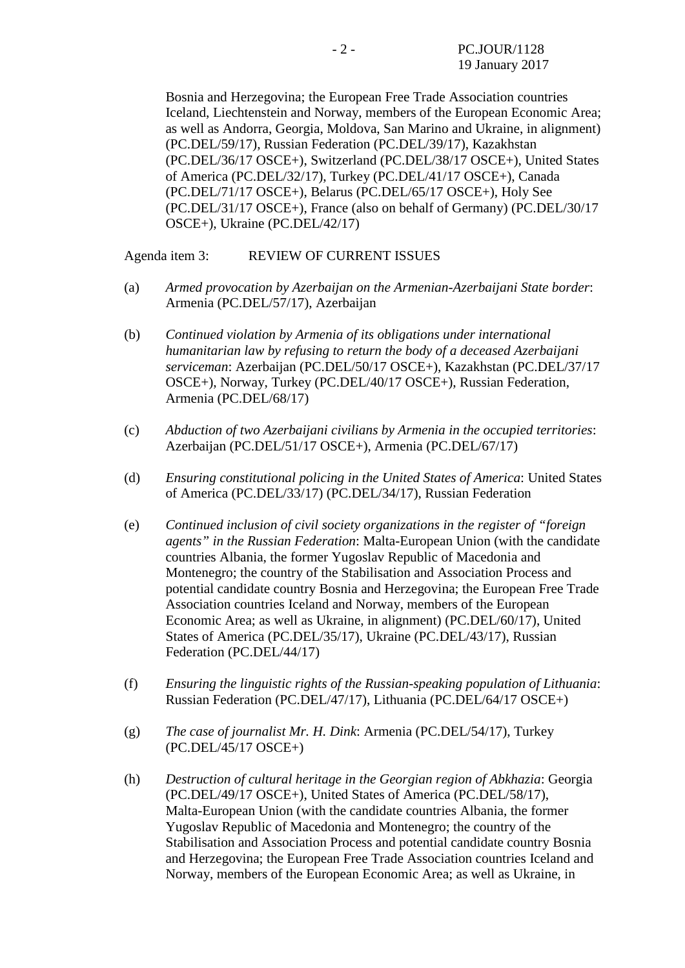Bosnia and Herzegovina; the European Free Trade Association countries Iceland, Liechtenstein and Norway, members of the European Economic Area; as well as Andorra, Georgia, Moldova, San Marino and Ukraine, in alignment) (PC.DEL/59/17), Russian Federation (PC.DEL/39/17), Kazakhstan (PC.DEL/36/17 OSCE+), Switzerland (PC.DEL/38/17 OSCE+), United States of America (PC.DEL/32/17), Turkey (PC.DEL/41/17 OSCE+), Canada (PC.DEL/71/17 OSCE+), Belarus (PC.DEL/65/17 OSCE+), Holy See (PC.DEL/31/17 OSCE+), France (also on behalf of Germany) (PC.DEL/30/17 OSCE+), Ukraine (PC.DEL/42/17)

Agenda item 3: REVIEW OF CURRENT ISSUES

- (a) *Armed provocation by Azerbaijan on the Armenian-Azerbaijani State border*: Armenia (PC.DEL/57/17), Azerbaijan
- (b) *Continued violation by Armenia of its obligations under international humanitarian law by refusing to return the body of a deceased Azerbaijani serviceman*: Azerbaijan (PC.DEL/50/17 OSCE+), Kazakhstan (PC.DEL/37/17 OSCE+), Norway, Turkey (PC.DEL/40/17 OSCE+), Russian Federation, Armenia (PC.DEL/68/17)
- (c) *Abduction of two Azerbaijani civilians by Armenia in the occupied territories*: Azerbaijan (PC.DEL/51/17 OSCE+), Armenia (PC.DEL/67/17)
- (d) *Ensuring constitutional policing in the United States of America*: United States of America (PC.DEL/33/17) (PC.DEL/34/17), Russian Federation
- (e) *Continued inclusion of civil society organizations in the register of "foreign agents" in the Russian Federation*: Malta-European Union (with the candidate countries Albania, the former Yugoslav Republic of Macedonia and Montenegro; the country of the Stabilisation and Association Process and potential candidate country Bosnia and Herzegovina; the European Free Trade Association countries Iceland and Norway, members of the European Economic Area; as well as Ukraine, in alignment) (PC.DEL/60/17), United States of America (PC.DEL/35/17), Ukraine (PC.DEL/43/17), Russian Federation (PC.DEL/44/17)
- (f) *Ensuring the linguistic rights of the Russian-speaking population of Lithuania*: Russian Federation (PC.DEL/47/17), Lithuania (PC.DEL/64/17 OSCE+)
- (g) *The case of journalist Mr. H. Dink*: Armenia (PC.DEL/54/17), Turkey (PC.DEL/45/17 OSCE+)
- (h) *Destruction of cultural heritage in the Georgian region of Abkhazia*: Georgia (PC.DEL/49/17 OSCE+), United States of America (PC.DEL/58/17), Malta-European Union (with the candidate countries Albania, the former Yugoslav Republic of Macedonia and Montenegro; the country of the Stabilisation and Association Process and potential candidate country Bosnia and Herzegovina; the European Free Trade Association countries Iceland and Norway, members of the European Economic Area; as well as Ukraine, in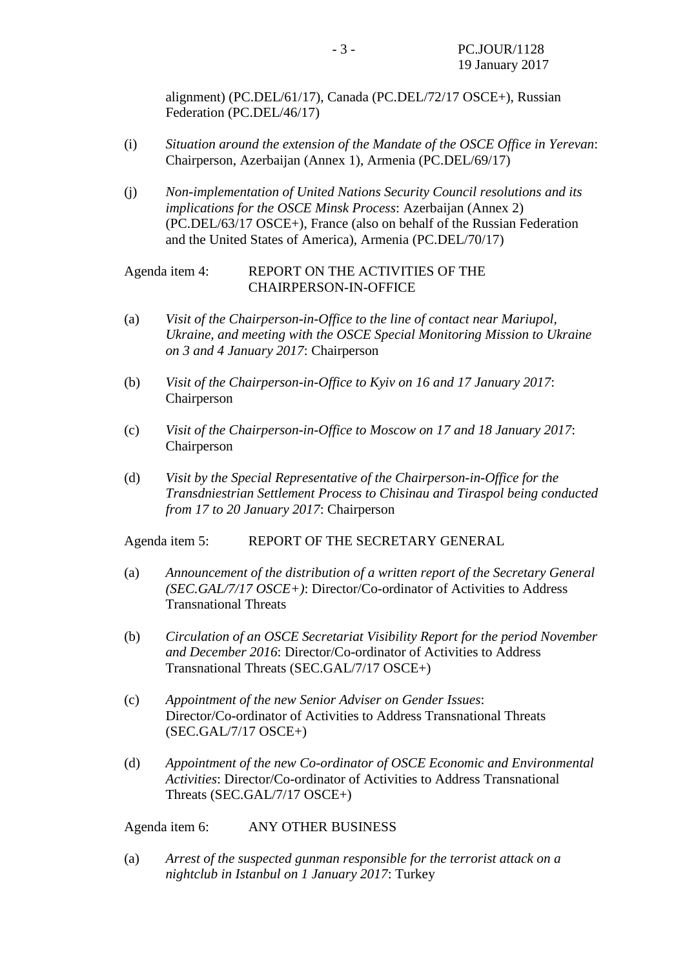alignment) (PC.DEL/61/17), Canada (PC.DEL/72/17 OSCE+), Russian Federation (PC.DEL/46/17)

- (i) *Situation around the extension of the Mandate of the OSCE Office in Yerevan*: Chairperson, Azerbaijan (Annex 1), Armenia (PC.DEL/69/17)
- (j) *Non-implementation of United Nations Security Council resolutions and its implications for the OSCE Minsk Process*: Azerbaijan (Annex 2) (PC.DEL/63/17 OSCE+), France (also on behalf of the Russian Federation and the United States of America), Armenia (PC.DEL/70/17)

#### Agenda item 4: REPORT ON THE ACTIVITIES OF THE CHAIRPERSON-IN-OFFICE

- (a) *Visit of the Chairperson-in-Office to the line of contact near Mariupol, Ukraine, and meeting with the OSCE Special Monitoring Mission to Ukraine on 3 and 4 January 2017*: Chairperson
- (b) *Visit of the Chairperson-in-Office to Kyiv on 16 and 17 January 2017*: Chairperson
- (c) *Visit of the Chairperson-in-Office to Moscow on 17 and 18 January 2017*: Chairperson
- (d) *Visit by the Special Representative of the Chairperson-in-Office for the Transdniestrian Settlement Process to Chisinau and Tiraspol being conducted from 17 to 20 January 2017*: Chairperson

Agenda item 5: REPORT OF THE SECRETARY GENERAL

- (a) *Announcement of the distribution of a written report of the Secretary General (SEC.GAL/7/17 OSCE+)*: Director/Co-ordinator of Activities to Address Transnational Threats
- (b) *Circulation of an OSCE Secretariat Visibility Report for the period November and December 2016*: Director/Co-ordinator of Activities to Address Transnational Threats (SEC.GAL/7/17 OSCE+)
- (c) *Appointment of the new Senior Adviser on Gender Issues*: Director/Co-ordinator of Activities to Address Transnational Threats (SEC.GAL/7/17 OSCE+)
- (d) *Appointment of the new Co-ordinator of OSCE Economic and Environmental Activities*: Director/Co-ordinator of Activities to Address Transnational Threats (SEC.GAL/7/17 OSCE+)

Agenda item 6: ANY OTHER BUSINESS

(a) *Arrest of the suspected gunman responsible for the terrorist attack on a nightclub in Istanbul on 1 January 2017*: Turkey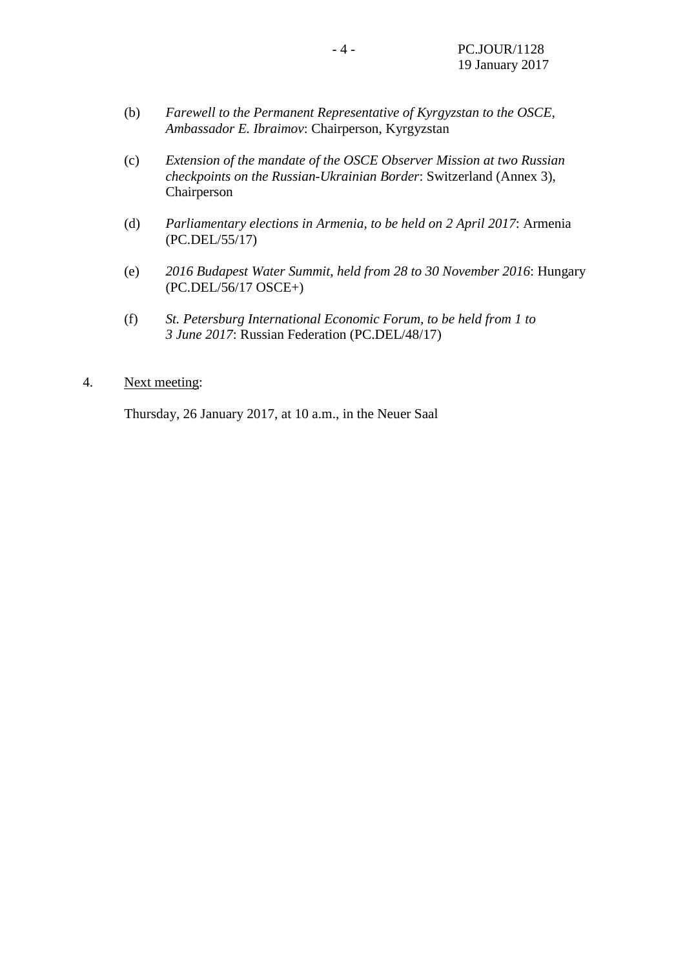- (b) *Farewell to the Permanent Representative of Kyrgyzstan to the OSCE, Ambassador E. Ibraimov*: Chairperson, Kyrgyzstan
- (c) *Extension of the mandate of the OSCE Observer Mission at two Russian checkpoints on the Russian-Ukrainian Border*: Switzerland (Annex 3), Chairperson
- (d) *Parliamentary elections in Armenia, to be held on 2 April 2017*: Armenia (PC.DEL/55/17)
- (e) *2016 Budapest Water Summit, held from 28 to 30 November 2016*: Hungary (PC.DEL/56/17 OSCE+)
- (f) *St. Petersburg International Economic Forum, to be held from 1 to 3 June 2017*: Russian Federation (PC.DEL/48/17)
- 4. Next meeting:

Thursday, 26 January 2017, at 10 a.m., in the Neuer Saal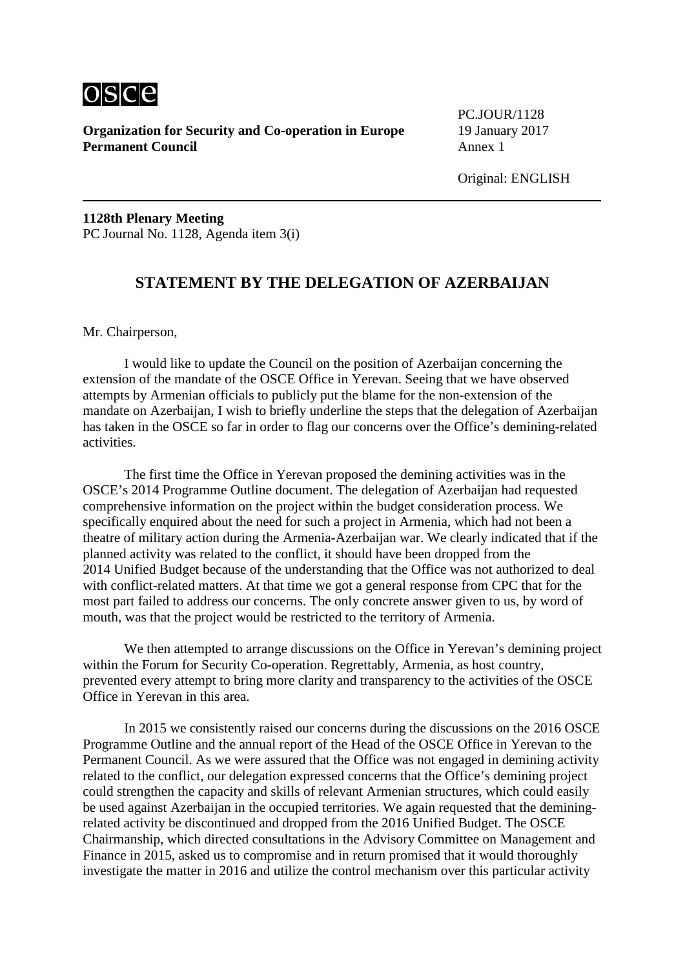

**Organization for Security and Co-operation in Europe** 19 January 2017 **Permanent Council** Annex 1

PC.JOUR/1128

**1128th Plenary Meeting** PC Journal No. 1128, Agenda item 3(i)

# **STATEMENT BY THE DELEGATION OF AZERBAIJAN**

Mr. Chairperson,

I would like to update the Council on the position of Azerbaijan concerning the extension of the mandate of the OSCE Office in Yerevan. Seeing that we have observed attempts by Armenian officials to publicly put the blame for the non-extension of the mandate on Azerbaijan, I wish to briefly underline the steps that the delegation of Azerbaijan has taken in the OSCE so far in order to flag our concerns over the Office's demining-related activities.

The first time the Office in Yerevan proposed the demining activities was in the OSCE's 2014 Programme Outline document. The delegation of Azerbaijan had requested comprehensive information on the project within the budget consideration process. We specifically enquired about the need for such a project in Armenia, which had not been a theatre of military action during the Armenia-Azerbaijan war. We clearly indicated that if the planned activity was related to the conflict, it should have been dropped from the 2014 Unified Budget because of the understanding that the Office was not authorized to deal with conflict-related matters. At that time we got a general response from CPC that for the most part failed to address our concerns. The only concrete answer given to us, by word of mouth, was that the project would be restricted to the territory of Armenia.

We then attempted to arrange discussions on the Office in Yerevan's demining project within the Forum for Security Co-operation. Regrettably, Armenia, as host country, prevented every attempt to bring more clarity and transparency to the activities of the OSCE Office in Yerevan in this area.

In 2015 we consistently raised our concerns during the discussions on the 2016 OSCE Programme Outline and the annual report of the Head of the OSCE Office in Yerevan to the Permanent Council. As we were assured that the Office was not engaged in demining activity related to the conflict, our delegation expressed concerns that the Office's demining project could strengthen the capacity and skills of relevant Armenian structures, which could easily be used against Azerbaijan in the occupied territories. We again requested that the deminingrelated activity be discontinued and dropped from the 2016 Unified Budget. The OSCE Chairmanship, which directed consultations in the Advisory Committee on Management and Finance in 2015, asked us to compromise and in return promised that it would thoroughly investigate the matter in 2016 and utilize the control mechanism over this particular activity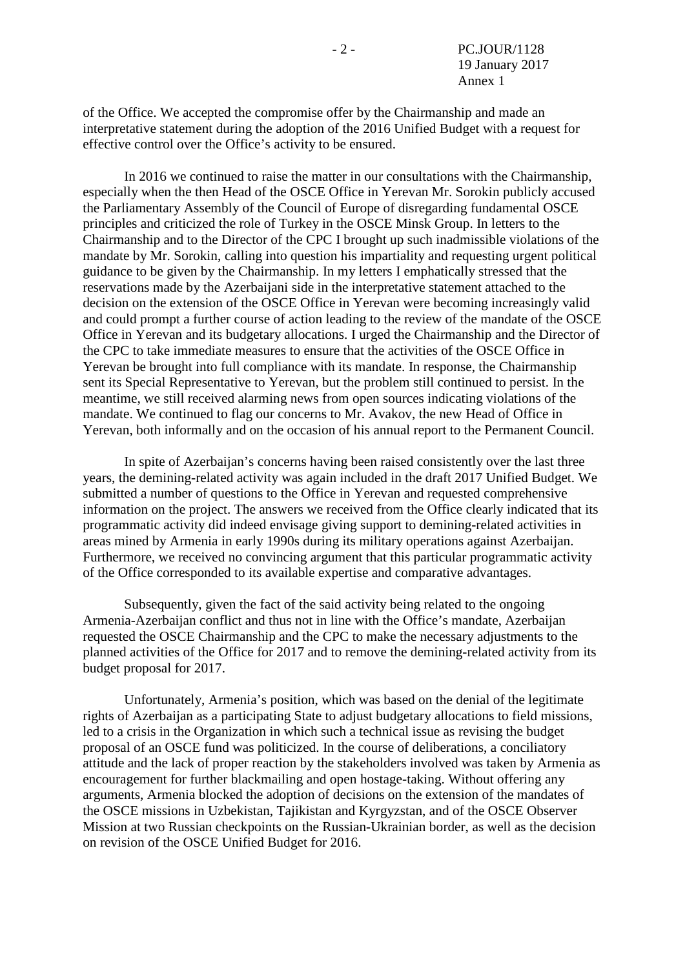of the Office. We accepted the compromise offer by the Chairmanship and made an interpretative statement during the adoption of the 2016 Unified Budget with a request for effective control over the Office's activity to be ensured.

In 2016 we continued to raise the matter in our consultations with the Chairmanship, especially when the then Head of the OSCE Office in Yerevan Mr. Sorokin publicly accused the Parliamentary Assembly of the Council of Europe of disregarding fundamental OSCE principles and criticized the role of Turkey in the OSCE Minsk Group. In letters to the Chairmanship and to the Director of the CPC I brought up such inadmissible violations of the mandate by Mr. Sorokin, calling into question his impartiality and requesting urgent political guidance to be given by the Chairmanship. In my letters I emphatically stressed that the reservations made by the Azerbaijani side in the interpretative statement attached to the decision on the extension of the OSCE Office in Yerevan were becoming increasingly valid and could prompt a further course of action leading to the review of the mandate of the OSCE Office in Yerevan and its budgetary allocations. I urged the Chairmanship and the Director of the CPC to take immediate measures to ensure that the activities of the OSCE Office in Yerevan be brought into full compliance with its mandate. In response, the Chairmanship sent its Special Representative to Yerevan, but the problem still continued to persist. In the meantime, we still received alarming news from open sources indicating violations of the mandate. We continued to flag our concerns to Mr. Avakov, the new Head of Office in Yerevan, both informally and on the occasion of his annual report to the Permanent Council.

In spite of Azerbaijan's concerns having been raised consistently over the last three years, the demining-related activity was again included in the draft 2017 Unified Budget. We submitted a number of questions to the Office in Yerevan and requested comprehensive information on the project. The answers we received from the Office clearly indicated that its programmatic activity did indeed envisage giving support to demining-related activities in areas mined by Armenia in early 1990s during its military operations against Azerbaijan. Furthermore, we received no convincing argument that this particular programmatic activity of the Office corresponded to its available expertise and comparative advantages.

Subsequently, given the fact of the said activity being related to the ongoing Armenia-Azerbaijan conflict and thus not in line with the Office's mandate, Azerbaijan requested the OSCE Chairmanship and the CPC to make the necessary adjustments to the planned activities of the Office for 2017 and to remove the demining-related activity from its budget proposal for 2017.

Unfortunately, Armenia's position, which was based on the denial of the legitimate rights of Azerbaijan as a participating State to adjust budgetary allocations to field missions, led to a crisis in the Organization in which such a technical issue as revising the budget proposal of an OSCE fund was politicized. In the course of deliberations, a conciliatory attitude and the lack of proper reaction by the stakeholders involved was taken by Armenia as encouragement for further blackmailing and open hostage-taking. Without offering any arguments, Armenia blocked the adoption of decisions on the extension of the mandates of the OSCE missions in Uzbekistan, Tajikistan and Kyrgyzstan, and of the OSCE Observer Mission at two Russian checkpoints on the Russian-Ukrainian border, as well as the decision on revision of the OSCE Unified Budget for 2016.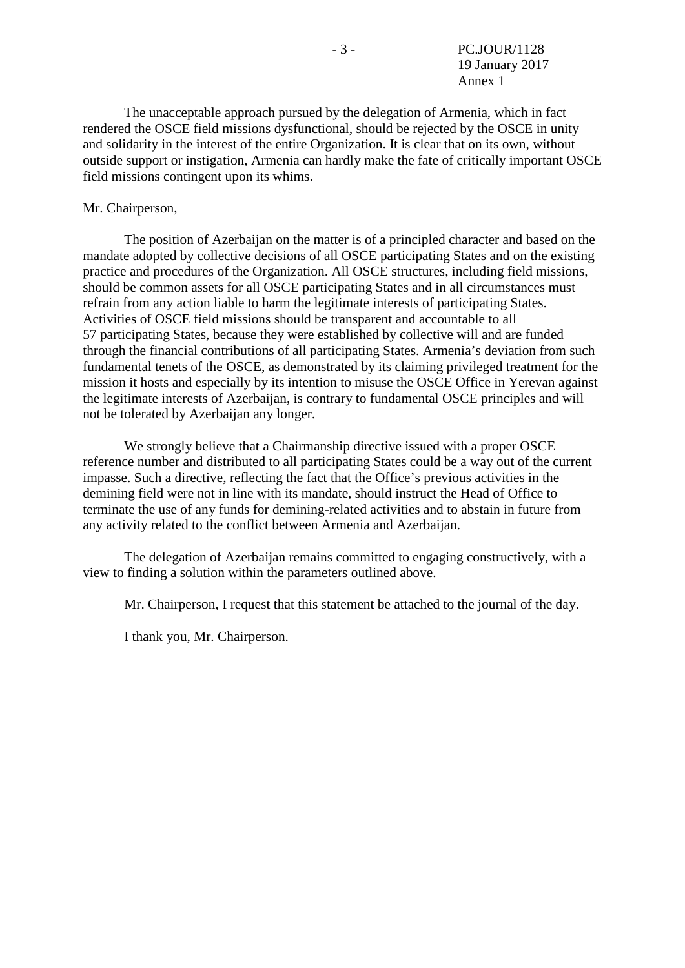The unacceptable approach pursued by the delegation of Armenia, which in fact rendered the OSCE field missions dysfunctional, should be rejected by the OSCE in unity and solidarity in the interest of the entire Organization. It is clear that on its own, without outside support or instigation, Armenia can hardly make the fate of critically important OSCE field missions contingent upon its whims.

#### Mr. Chairperson,

The position of Azerbaijan on the matter is of a principled character and based on the mandate adopted by collective decisions of all OSCE participating States and on the existing practice and procedures of the Organization. All OSCE structures, including field missions, should be common assets for all OSCE participating States and in all circumstances must refrain from any action liable to harm the legitimate interests of participating States. Activities of OSCE field missions should be transparent and accountable to all 57 participating States, because they were established by collective will and are funded through the financial contributions of all participating States. Armenia's deviation from such fundamental tenets of the OSCE, as demonstrated by its claiming privileged treatment for the mission it hosts and especially by its intention to misuse the OSCE Office in Yerevan against the legitimate interests of Azerbaijan, is contrary to fundamental OSCE principles and will not be tolerated by Azerbaijan any longer.

We strongly believe that a Chairmanship directive issued with a proper OSCE reference number and distributed to all participating States could be a way out of the current impasse. Such a directive, reflecting the fact that the Office's previous activities in the demining field were not in line with its mandate, should instruct the Head of Office to terminate the use of any funds for demining-related activities and to abstain in future from any activity related to the conflict between Armenia and Azerbaijan.

The delegation of Azerbaijan remains committed to engaging constructively, with a view to finding a solution within the parameters outlined above.

Mr. Chairperson, I request that this statement be attached to the journal of the day.

I thank you, Mr. Chairperson.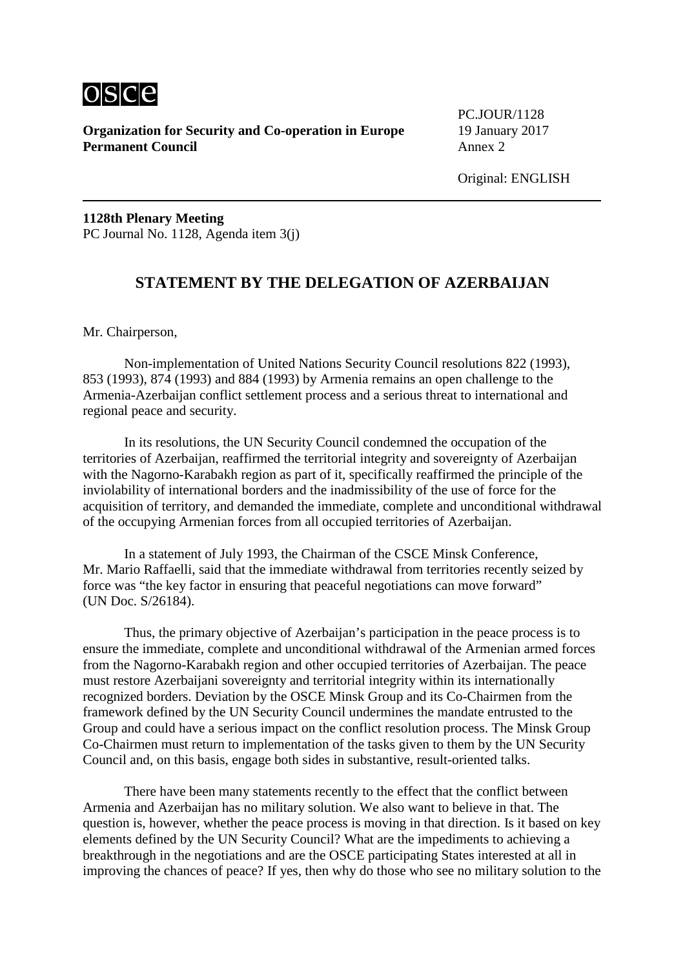

**Organization for Security and Co-operation in Europe** 19 January 2017 **Permanent Council** Annex 2

PC.JOUR/1128

**1128th Plenary Meeting** PC Journal No. 1128, Agenda item 3(j)

# **STATEMENT BY THE DELEGATION OF AZERBAIJAN**

Mr. Chairperson,

Non-implementation of United Nations Security Council resolutions 822 (1993), 853 (1993), 874 (1993) and 884 (1993) by Armenia remains an open challenge to the Armenia-Azerbaijan conflict settlement process and a serious threat to international and regional peace and security.

In its resolutions, the UN Security Council condemned the occupation of the territories of Azerbaijan, reaffirmed the territorial integrity and sovereignty of Azerbaijan with the Nagorno-Karabakh region as part of it, specifically reaffirmed the principle of the inviolability of international borders and the inadmissibility of the use of force for the acquisition of territory, and demanded the immediate, complete and unconditional withdrawal of the occupying Armenian forces from all occupied territories of Azerbaijan.

In a statement of July 1993, the Chairman of the CSCE Minsk Conference, Mr. Mario Raffaelli, said that the immediate withdrawal from territories recently seized by force was "the key factor in ensuring that peaceful negotiations can move forward" (UN Doc. S/26184).

Thus, the primary objective of Azerbaijan's participation in the peace process is to ensure the immediate, complete and unconditional withdrawal of the Armenian armed forces from the Nagorno-Karabakh region and other occupied territories of Azerbaijan. The peace must restore Azerbaijani sovereignty and territorial integrity within its internationally recognized borders. Deviation by the OSCE Minsk Group and its Co-Chairmen from the framework defined by the UN Security Council undermines the mandate entrusted to the Group and could have a serious impact on the conflict resolution process. The Minsk Group Co-Chairmen must return to implementation of the tasks given to them by the UN Security Council and, on this basis, engage both sides in substantive, result-oriented talks.

There have been many statements recently to the effect that the conflict between Armenia and Azerbaijan has no military solution. We also want to believe in that. The question is, however, whether the peace process is moving in that direction. Is it based on key elements defined by the UN Security Council? What are the impediments to achieving a breakthrough in the negotiations and are the OSCE participating States interested at all in improving the chances of peace? If yes, then why do those who see no military solution to the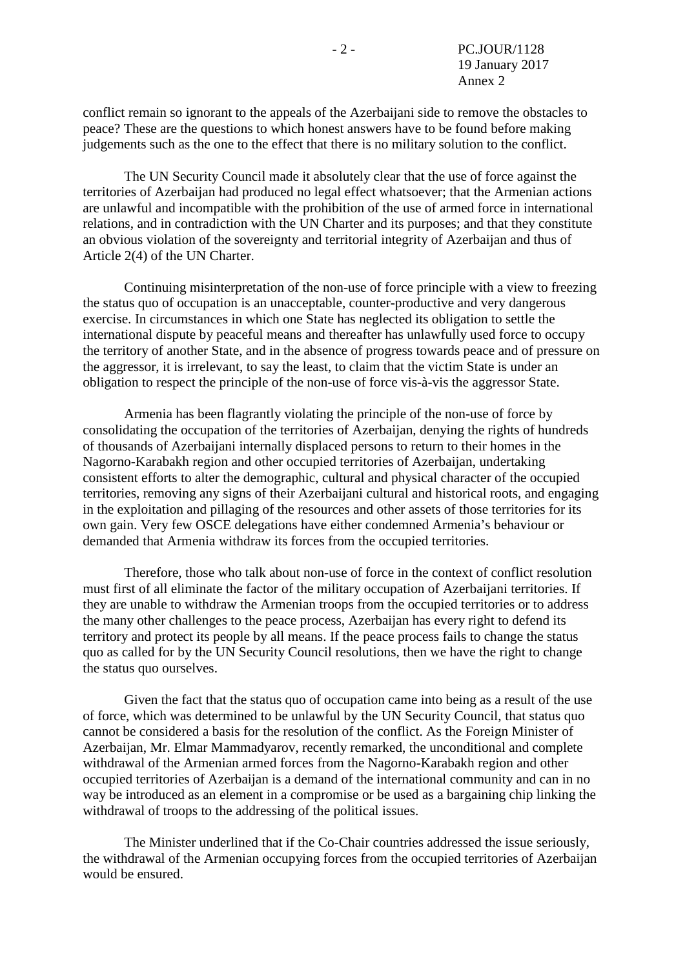conflict remain so ignorant to the appeals of the Azerbaijani side to remove the obstacles to peace? These are the questions to which honest answers have to be found before making judgements such as the one to the effect that there is no military solution to the conflict.

The UN Security Council made it absolutely clear that the use of force against the territories of Azerbaijan had produced no legal effect whatsoever; that the Armenian actions are unlawful and incompatible with the prohibition of the use of armed force in international relations, and in contradiction with the UN Charter and its purposes; and that they constitute an obvious violation of the sovereignty and territorial integrity of Azerbaijan and thus of Article 2(4) of the UN Charter.

Continuing misinterpretation of the non-use of force principle with a view to freezing the status quo of occupation is an unacceptable, counter-productive and very dangerous exercise. In circumstances in which one State has neglected its obligation to settle the international dispute by peaceful means and thereafter has unlawfully used force to occupy the territory of another State, and in the absence of progress towards peace and of pressure on the aggressor, it is irrelevant, to say the least, to claim that the victim State is under an obligation to respect the principle of the non-use of force vis-à-vis the aggressor State.

Armenia has been flagrantly violating the principle of the non-use of force by consolidating the occupation of the territories of Azerbaijan, denying the rights of hundreds of thousands of Azerbaijani internally displaced persons to return to their homes in the Nagorno-Karabakh region and other occupied territories of Azerbaijan, undertaking consistent efforts to alter the demographic, cultural and physical character of the occupied territories, removing any signs of their Azerbaijani cultural and historical roots, and engaging in the exploitation and pillaging of the resources and other assets of those territories for its own gain. Very few OSCE delegations have either condemned Armenia's behaviour or demanded that Armenia withdraw its forces from the occupied territories.

Therefore, those who talk about non-use of force in the context of conflict resolution must first of all eliminate the factor of the military occupation of Azerbaijani territories. If they are unable to withdraw the Armenian troops from the occupied territories or to address the many other challenges to the peace process, Azerbaijan has every right to defend its territory and protect its people by all means. If the peace process fails to change the status quo as called for by the UN Security Council resolutions, then we have the right to change the status quo ourselves.

Given the fact that the status quo of occupation came into being as a result of the use of force, which was determined to be unlawful by the UN Security Council, that status quo cannot be considered a basis for the resolution of the conflict. As the Foreign Minister of Azerbaijan, Mr. Elmar Mammadyarov, recently remarked, the unconditional and complete withdrawal of the Armenian armed forces from the Nagorno-Karabakh region and other occupied territories of Azerbaijan is a demand of the international community and can in no way be introduced as an element in a compromise or be used as a bargaining chip linking the withdrawal of troops to the addressing of the political issues.

The Minister underlined that if the Co-Chair countries addressed the issue seriously, the withdrawal of the Armenian occupying forces from the occupied territories of Azerbaijan would be ensured.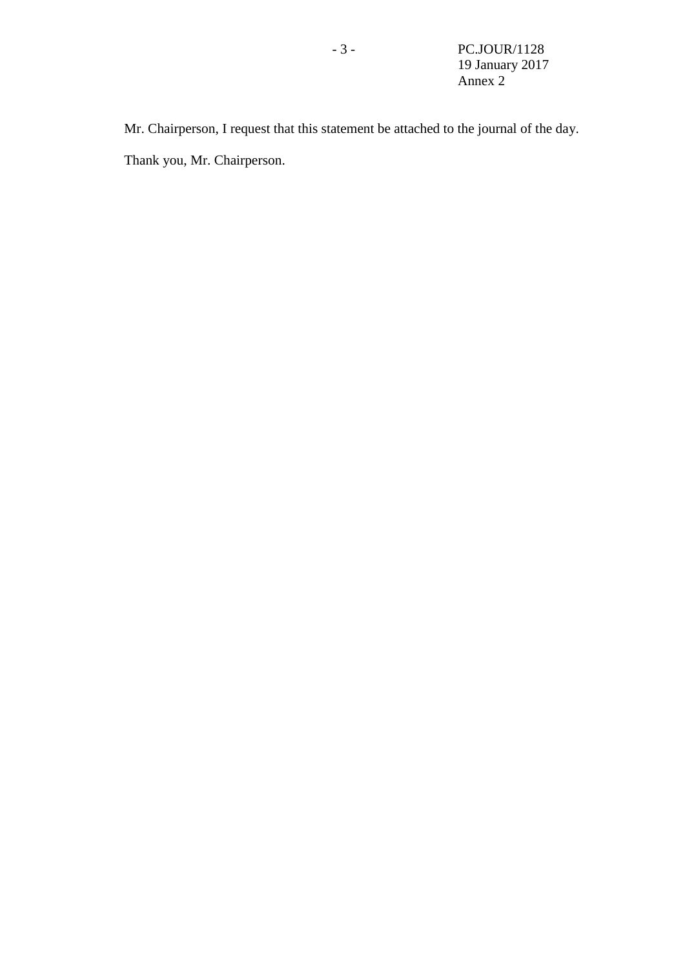Mr. Chairperson, I request that this statement be attached to the journal of the day. Thank you, Mr. Chairperson.